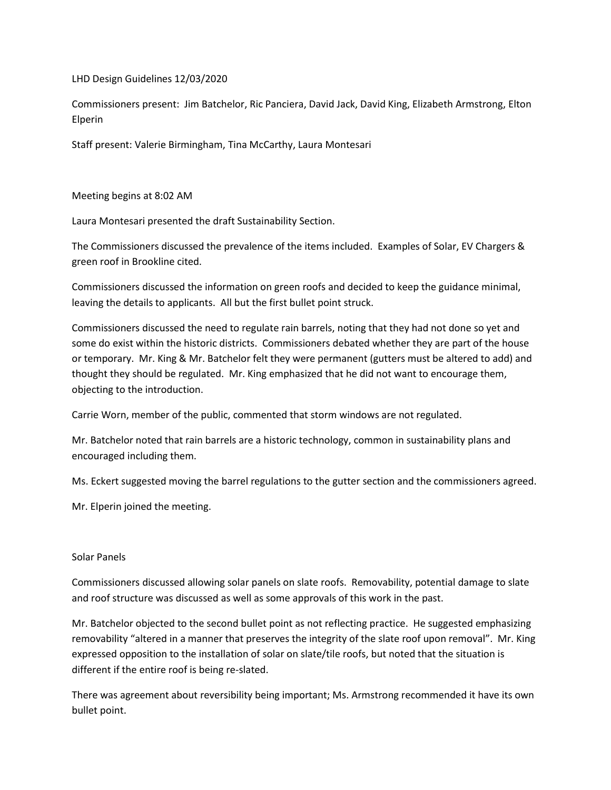LHD Design Guidelines 12/03/2020

Commissioners present: Jim Batchelor, Ric Panciera, David Jack, David King, Elizabeth Armstrong, Elton Elperin

Staff present: Valerie Birmingham, Tina McCarthy, Laura Montesari

Meeting begins at 8:02 AM

Laura Montesari presented the draft Sustainability Section.

The Commissioners discussed the prevalence of the items included. Examples of Solar, EV Chargers & green roof in Brookline cited.

Commissioners discussed the information on green roofs and decided to keep the guidance minimal, leaving the details to applicants. All but the first bullet point struck.

Commissioners discussed the need to regulate rain barrels, noting that they had not done so yet and some do exist within the historic districts. Commissioners debated whether they are part of the house or temporary. Mr. King & Mr. Batchelor felt they were permanent (gutters must be altered to add) and thought they should be regulated. Mr. King emphasized that he did not want to encourage them, objecting to the introduction.

Carrie Worn, member of the public, commented that storm windows are not regulated.

Mr. Batchelor noted that rain barrels are a historic technology, common in sustainability plans and encouraged including them.

Ms. Eckert suggested moving the barrel regulations to the gutter section and the commissioners agreed.

Mr. Elperin joined the meeting.

## Solar Panels

Commissioners discussed allowing solar panels on slate roofs. Removability, potential damage to slate and roof structure was discussed as well as some approvals of this work in the past.

Mr. Batchelor objected to the second bullet point as not reflecting practice. He suggested emphasizing removability "altered in a manner that preserves the integrity of the slate roof upon removal". Mr. King expressed opposition to the installation of solar on slate/tile roofs, but noted that the situation is different if the entire roof is being re-slated.

There was agreement about reversibility being important; Ms. Armstrong recommended it have its own bullet point.